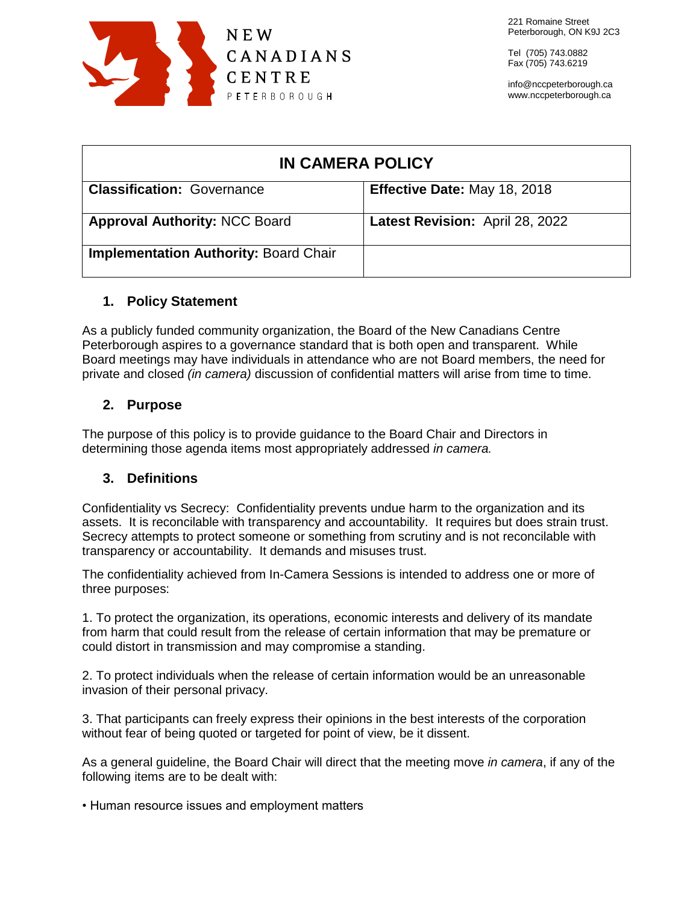

Tel (705) 743.0882 Fax (705) 743.6219

info@nccpeterborough.ca www.nccpeterborough.ca

| <b>IN CAMERA POLICY</b>                      |                                 |
|----------------------------------------------|---------------------------------|
| <b>Classification: Governance</b>            | Effective Date: May 18, 2018    |
| <b>Approval Authority: NCC Board</b>         | Latest Revision: April 28, 2022 |
| <b>Implementation Authority: Board Chair</b> |                                 |

## **1. Policy Statement**

As a publicly funded community organization, the Board of the New Canadians Centre Peterborough aspires to a governance standard that is both open and transparent. While Board meetings may have individuals in attendance who are not Board members, the need for private and closed *(in camera)* discussion of confidential matters will arise from time to time.

# **2. Purpose**

The purpose of this policy is to provide guidance to the Board Chair and Directors in determining those agenda items most appropriately addressed *in camera.*

# **3. Definitions**

Confidentiality vs Secrecy: Confidentiality prevents undue harm to the organization and its assets. It is reconcilable with transparency and accountability. It requires but does strain trust. Secrecy attempts to protect someone or something from scrutiny and is not reconcilable with transparency or accountability. It demands and misuses trust.

The confidentiality achieved from In-Camera Sessions is intended to address one or more of three purposes:

1. To protect the organization, its operations, economic interests and delivery of its mandate from harm that could result from the release of certain information that may be premature or could distort in transmission and may compromise a standing.

2. To protect individuals when the release of certain information would be an unreasonable invasion of their personal privacy.

3. That participants can freely express their opinions in the best interests of the corporation without fear of being quoted or targeted for point of view, be it dissent.

As a general guideline, the Board Chair will direct that the meeting move *in camera*, if any of the following items are to be dealt with:

• Human resource issues and employment matters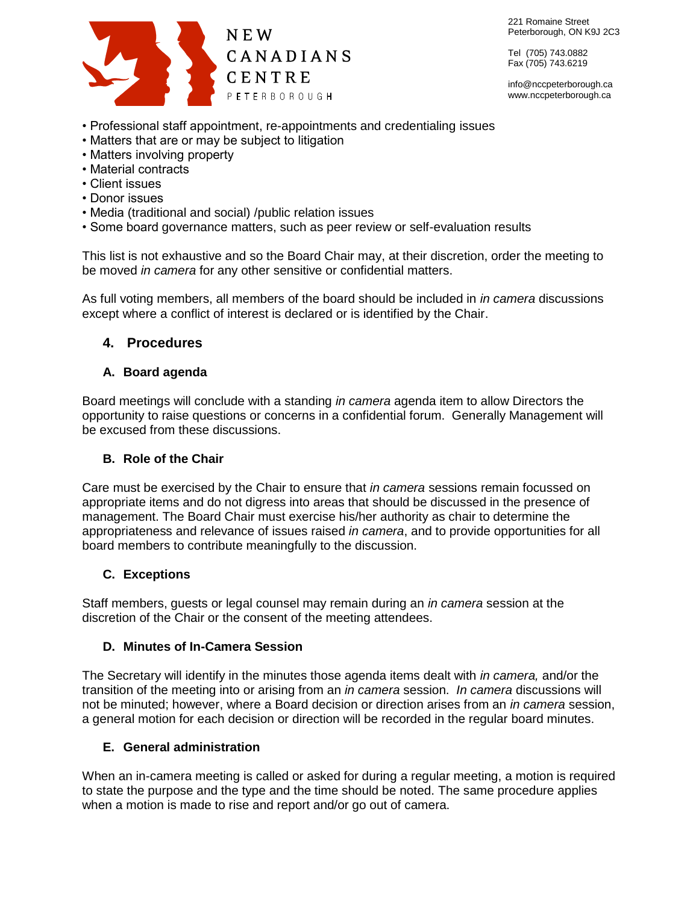

221 Romaine Street Peterborough, ON K9J 2C3

Tel (705) 743.0882 Fax (705) 743.6219

info@nccpeterborough.ca www.nccpeterborough.ca

- Professional staff appointment, re-appointments and credentialing issues
- Matters that are or may be subject to litigation
- Matters involving property
- Material contracts
- Client issues
- Donor issues
- Media (traditional and social) /public relation issues
- Some board governance matters, such as peer review or self-evaluation results

This list is not exhaustive and so the Board Chair may, at their discretion, order the meeting to be moved *in camera* for any other sensitive or confidential matters.

As full voting members, all members of the board should be included in *in camera* discussions except where a conflict of interest is declared or is identified by the Chair.

## **4. Procedures**

## **A. Board agenda**

Board meetings will conclude with a standing *in camera* agenda item to allow Directors the opportunity to raise questions or concerns in a confidential forum. Generally Management will be excused from these discussions.

### **B. Role of the Chair**

Care must be exercised by the Chair to ensure that *in camera* sessions remain focussed on appropriate items and do not digress into areas that should be discussed in the presence of management. The Board Chair must exercise his/her authority as chair to determine the appropriateness and relevance of issues raised *in camera*, and to provide opportunities for all board members to contribute meaningfully to the discussion.

### **C. Exceptions**

Staff members, guests or legal counsel may remain during an *in camera* session at the discretion of the Chair or the consent of the meeting attendees.

### **D. Minutes of In-Camera Session**

The Secretary will identify in the minutes those agenda items dealt with *in camera,* and/or the transition of the meeting into or arising from an *in camera* session. *In camera* discussions will not be minuted; however, where a Board decision or direction arises from an *in camera* session, a general motion for each decision or direction will be recorded in the regular board minutes.

### **E. General administration**

When an in-camera meeting is called or asked for during a regular meeting, a motion is required to state the purpose and the type and the time should be noted. The same procedure applies when a motion is made to rise and report and/or go out of camera.